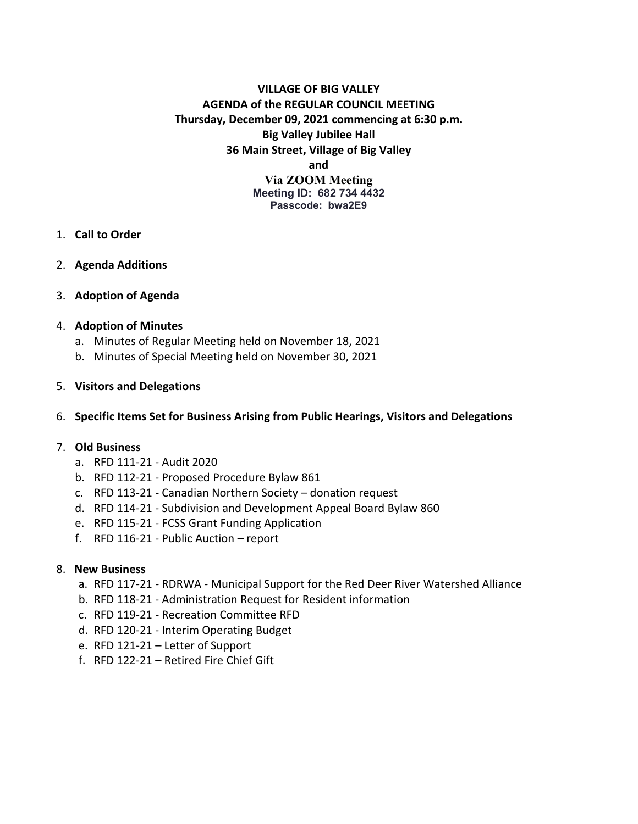### **VILLAGE OF BIG VALLEY AGENDA of the REGULAR COUNCIL MEETING Thursday, December 09, 2021 commencing at 6:30 p.m. Big Valley Jubilee Hall 36 Main Street, Village of Big Valley and Via ZOOM Meeting Meeting ID: 682 734 4432 Passcode: bwa2E9**

- 1. **Call to Order**
- 2. **Agenda Additions**
- 3. **Adoption of Agenda**

#### 4. **Adoption of Minutes**

- a. Minutes of Regular Meeting held on November 18, 2021
- b. Minutes of Special Meeting held on November 30, 2021

#### 5. **Visitors and Delegations**

#### 6. **Specific Items Set for Business Arising from Public Hearings, Visitors and Delegations**

#### 7. **Old Business**

- a. RFD 111-21 Audit 2020
- b. RFD 112-21 Proposed Procedure Bylaw 861
- c. RFD 113-21 Canadian Northern Society donation request
- d. RFD 114-21 Subdivision and Development Appeal Board Bylaw 860
- e. RFD 115-21 FCSS Grant Funding Application
- f. RFD 116-21 Public Auction report

#### 8. **New Business**

- a. RFD 117-21 RDRWA Municipal Support for the Red Deer River Watershed Alliance
- b. RFD 118-21 Administration Request for Resident information
- c. RFD 119-21 Recreation Committee RFD
- d. RFD 120-21 Interim Operating Budget
- e. RFD 121-21 Letter of Support
- f. RFD 122-21 Retired Fire Chief Gift